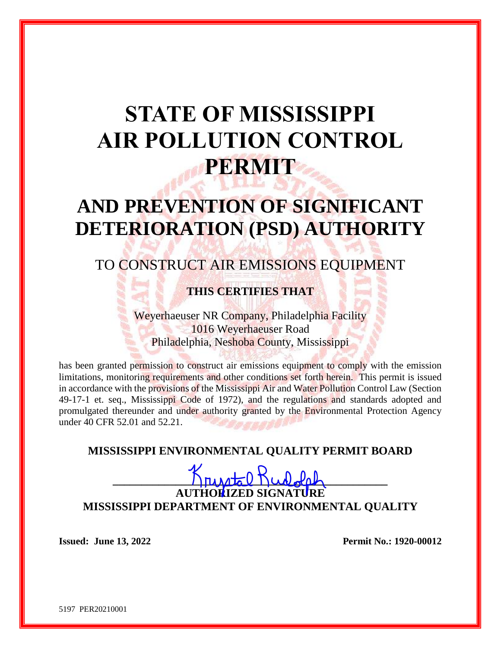# **STATE OF MISSISSIPPI AIR POLLUTION CONTROL PERMIT**

# **AND PREVENTION OF SIGNIFICANT DETERIORATION (PSD) AUTHORITY**

## TO CONSTRUCT AIR EMISSIONS EQUIPMENT

## **THIS CERTIFIES THAT**

Weyerhaeuser NR Company, Philadelphia Facility 1016 Weyerhaeuser Road Philadelphia, Neshoba County, Mississippi

has been granted permission to construct air emissions equipment to comply with the emission limitations, monitoring requirements and other conditions set forth herein. This permit is issued in accordance with the provisions of the Mississippi Air and Water Pollution Control Law (Section 49-17-1 et. seq., Mississippi Code of 1972), and the regulations and standards adopted and promulgated thereunder and under authority granted by the Environmental Protection Agency under 40 CFR 52.01 and 52.21.

## **MISSISSIPPI ENVIRONMENTAL QUALITY PERMIT BOARD**

## $K$ rusto Rudalo **AUTHORIZED SIGNATURE MISSISSIPPI DEPARTMENT OF ENVIRONMENTAL QUALITY**

**Issued: June 13, 2022 Permit No.: 1920-00012** 

5197 PER20210001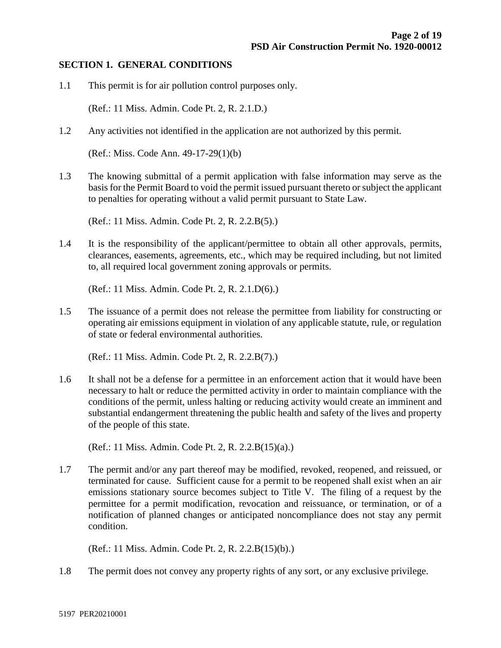#### **SECTION 1. GENERAL CONDITIONS**

1.1 This permit is for air pollution control purposes only.

(Ref.: 11 Miss. Admin. Code Pt. 2, R. 2.1.D.)

1.2 Any activities not identified in the application are not authorized by this permit.

(Ref.: Miss. Code Ann. 49-17-29(1)(b)

1.3 The knowing submittal of a permit application with false information may serve as the basis for the Permit Board to void the permit issued pursuant thereto or subject the applicant to penalties for operating without a valid permit pursuant to State Law.

(Ref.: 11 Miss. Admin. Code Pt. 2, R. 2.2.B(5).)

1.4 It is the responsibility of the applicant/permittee to obtain all other approvals, permits, clearances, easements, agreements, etc., which may be required including, but not limited to, all required local government zoning approvals or permits.

(Ref.: 11 Miss. Admin. Code Pt. 2, R. 2.1.D(6).)

1.5 The issuance of a permit does not release the permittee from liability for constructing or operating air emissions equipment in violation of any applicable statute, rule, or regulation of state or federal environmental authorities.

(Ref.: 11 Miss. Admin. Code Pt. 2, R. 2.2.B(7).)

1.6 It shall not be a defense for a permittee in an enforcement action that it would have been necessary to halt or reduce the permitted activity in order to maintain compliance with the conditions of the permit, unless halting or reducing activity would create an imminent and substantial endangerment threatening the public health and safety of the lives and property of the people of this state.

(Ref.: 11 Miss. Admin. Code Pt. 2, R. 2.2.B(15)(a).)

1.7 The permit and/or any part thereof may be modified, revoked, reopened, and reissued, or terminated for cause. Sufficient cause for a permit to be reopened shall exist when an air emissions stationary source becomes subject to Title V. The filing of a request by the permittee for a permit modification, revocation and reissuance, or termination, or of a notification of planned changes or anticipated noncompliance does not stay any permit condition.

(Ref.: 11 Miss. Admin. Code Pt. 2, R. 2.2.B(15)(b).)

1.8 The permit does not convey any property rights of any sort, or any exclusive privilege.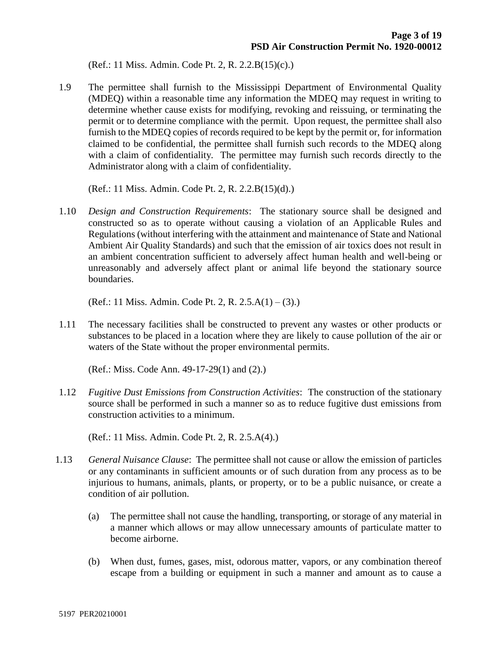(Ref.: 11 Miss. Admin. Code Pt. 2, R. 2.2.B(15)(c).)

1.9 The permittee shall furnish to the Mississippi Department of Environmental Quality (MDEQ) within a reasonable time any information the MDEQ may request in writing to determine whether cause exists for modifying, revoking and reissuing, or terminating the permit or to determine compliance with the permit. Upon request, the permittee shall also furnish to the MDEQ copies of records required to be kept by the permit or, for information claimed to be confidential, the permittee shall furnish such records to the MDEQ along with a claim of confidentiality. The permittee may furnish such records directly to the Administrator along with a claim of confidentiality.

(Ref.: 11 Miss. Admin. Code Pt. 2, R. 2.2.B(15)(d).)

1.10 *Design and Construction Requirements*: The stationary source shall be designed and constructed so as to operate without causing a violation of an Applicable Rules and Regulations (without interfering with the attainment and maintenance of State and National Ambient Air Quality Standards) and such that the emission of air toxics does not result in an ambient concentration sufficient to adversely affect human health and well-being or unreasonably and adversely affect plant or animal life beyond the stationary source boundaries.

(Ref.: 11 Miss. Admin. Code Pt. 2, R. 2.5.A(1) – (3).)

1.11 The necessary facilities shall be constructed to prevent any wastes or other products or substances to be placed in a location where they are likely to cause pollution of the air or waters of the State without the proper environmental permits.

(Ref.: Miss. Code Ann. 49-17-29(1) and (2).)

1.12 *Fugitive Dust Emissions from Construction Activities*: The construction of the stationary source shall be performed in such a manner so as to reduce fugitive dust emissions from construction activities to a minimum.

(Ref.: 11 Miss. Admin. Code Pt. 2, R. 2.5.A(4).)

- 1.13 *General Nuisance Clause*: The permittee shall not cause or allow the emission of particles or any contaminants in sufficient amounts or of such duration from any process as to be injurious to humans, animals, plants, or property, or to be a public nuisance, or create a condition of air pollution.
	- (a) The permittee shall not cause the handling, transporting, or storage of any material in a manner which allows or may allow unnecessary amounts of particulate matter to become airborne.
	- (b) When dust, fumes, gases, mist, odorous matter, vapors, or any combination thereof escape from a building or equipment in such a manner and amount as to cause a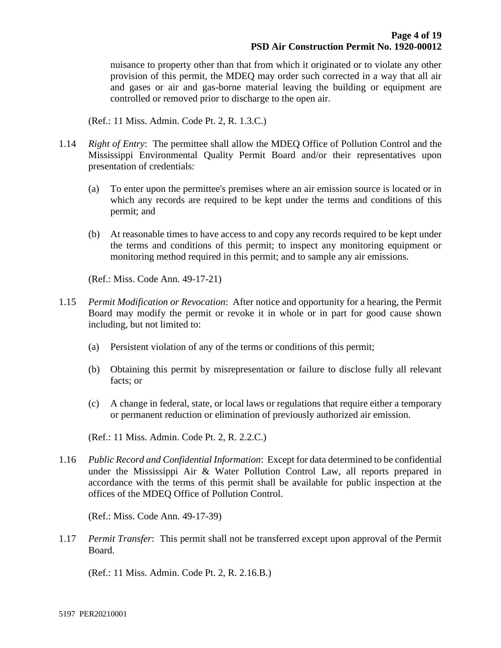nuisance to property other than that from which it originated or to violate any other provision of this permit, the MDEQ may order such corrected in a way that all air and gases or air and gas-borne material leaving the building or equipment are controlled or removed prior to discharge to the open air.

(Ref.: 11 Miss. Admin. Code Pt. 2, R. 1.3.C.)

- 1.14 *Right of Entry*: The permittee shall allow the MDEQ Office of Pollution Control and the Mississippi Environmental Quality Permit Board and/or their representatives upon presentation of credentials:
	- (a) To enter upon the permittee's premises where an air emission source is located or in which any records are required to be kept under the terms and conditions of this permit; and
	- (b) At reasonable times to have access to and copy any records required to be kept under the terms and conditions of this permit; to inspect any monitoring equipment or monitoring method required in this permit; and to sample any air emissions.

(Ref.: Miss. Code Ann. 49-17-21)

- 1.15 *Permit Modification or Revocation*: After notice and opportunity for a hearing, the Permit Board may modify the permit or revoke it in whole or in part for good cause shown including, but not limited to:
	- (a) Persistent violation of any of the terms or conditions of this permit;
	- (b) Obtaining this permit by misrepresentation or failure to disclose fully all relevant facts; or
	- (c) A change in federal, state, or local laws or regulations that require either a temporary or permanent reduction or elimination of previously authorized air emission.

(Ref.: 11 Miss. Admin. Code Pt. 2, R. 2.2.C.)

1.16 *Public Record and Confidential Information*: Except for data determined to be confidential under the Mississippi Air & Water Pollution Control Law, all reports prepared in accordance with the terms of this permit shall be available for public inspection at the offices of the MDEQ Office of Pollution Control.

(Ref.: Miss. Code Ann. 49-17-39)

1.17 *Permit Transfer*: This permit shall not be transferred except upon approval of the Permit Board.

(Ref.: 11 Miss. Admin. Code Pt. 2, R. 2.16.B.)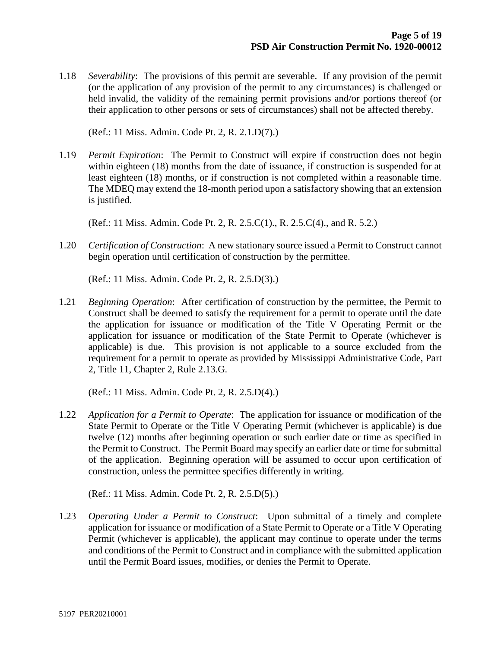1.18 *Severability*: The provisions of this permit are severable. If any provision of the permit (or the application of any provision of the permit to any circumstances) is challenged or held invalid, the validity of the remaining permit provisions and/or portions thereof (or their application to other persons or sets of circumstances) shall not be affected thereby.

(Ref.: 11 Miss. Admin. Code Pt. 2, R. 2.1.D(7).)

1.19 *Permit Expiration*: The Permit to Construct will expire if construction does not begin within eighteen (18) months from the date of issuance, if construction is suspended for at least eighteen (18) months, or if construction is not completed within a reasonable time. The MDEQ may extend the 18-month period upon a satisfactory showing that an extension is justified.

(Ref.: 11 Miss. Admin. Code Pt. 2, R. 2.5.C(1)., R. 2.5.C(4)., and R. 5.2.)

1.20 *Certification of Construction*: A new stationary source issued a Permit to Construct cannot begin operation until certification of construction by the permittee.

(Ref.: 11 Miss. Admin. Code Pt. 2, R. 2.5.D(3).)

1.21 *Beginning Operation*: After certification of construction by the permittee, the Permit to Construct shall be deemed to satisfy the requirement for a permit to operate until the date the application for issuance or modification of the Title V Operating Permit or the application for issuance or modification of the State Permit to Operate (whichever is applicable) is due. This provision is not applicable to a source excluded from the requirement for a permit to operate as provided by Mississippi Administrative Code, Part 2, Title 11, Chapter 2, Rule 2.13.G.

(Ref.: 11 Miss. Admin. Code Pt. 2, R. 2.5.D(4).)

1.22 *Application for a Permit to Operate*: The application for issuance or modification of the State Permit to Operate or the Title V Operating Permit (whichever is applicable) is due twelve (12) months after beginning operation or such earlier date or time as specified in the Permit to Construct. The Permit Board may specify an earlier date or time for submittal of the application. Beginning operation will be assumed to occur upon certification of construction, unless the permittee specifies differently in writing.

(Ref.: 11 Miss. Admin. Code Pt. 2, R. 2.5.D(5).)

1.23 *Operating Under a Permit to Construct*: Upon submittal of a timely and complete application for issuance or modification of a State Permit to Operate or a Title V Operating Permit (whichever is applicable), the applicant may continue to operate under the terms and conditions of the Permit to Construct and in compliance with the submitted application until the Permit Board issues, modifies, or denies the Permit to Operate.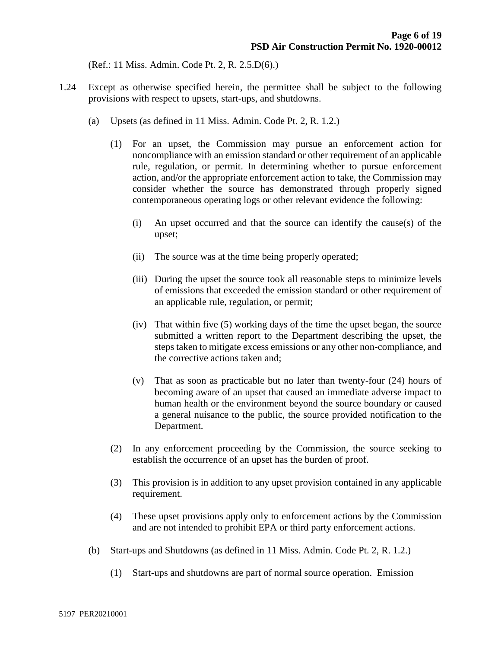(Ref.: 11 Miss. Admin. Code Pt. 2, R. 2.5.D(6).)

- 1.24 Except as otherwise specified herein, the permittee shall be subject to the following provisions with respect to upsets, start-ups, and shutdowns.
	- (a) Upsets (as defined in 11 Miss. Admin. Code Pt. 2, R. 1.2.)
		- (1) For an upset, the Commission may pursue an enforcement action for noncompliance with an emission standard or other requirement of an applicable rule, regulation, or permit. In determining whether to pursue enforcement action, and/or the appropriate enforcement action to take, the Commission may consider whether the source has demonstrated through properly signed contemporaneous operating logs or other relevant evidence the following:
			- (i) An upset occurred and that the source can identify the cause(s) of the upset;
			- (ii) The source was at the time being properly operated;
			- (iii) During the upset the source took all reasonable steps to minimize levels of emissions that exceeded the emission standard or other requirement of an applicable rule, regulation, or permit;
			- (iv) That within five (5) working days of the time the upset began, the source submitted a written report to the Department describing the upset, the steps taken to mitigate excess emissions or any other non-compliance, and the corrective actions taken and;
			- (v) That as soon as practicable but no later than twenty-four (24) hours of becoming aware of an upset that caused an immediate adverse impact to human health or the environment beyond the source boundary or caused a general nuisance to the public, the source provided notification to the Department.
		- (2) In any enforcement proceeding by the Commission, the source seeking to establish the occurrence of an upset has the burden of proof.
		- (3) This provision is in addition to any upset provision contained in any applicable requirement.
		- (4) These upset provisions apply only to enforcement actions by the Commission and are not intended to prohibit EPA or third party enforcement actions.
	- (b) Start-ups and Shutdowns (as defined in 11 Miss. Admin. Code Pt. 2, R. 1.2.)
		- (1) Start-ups and shutdowns are part of normal source operation. Emission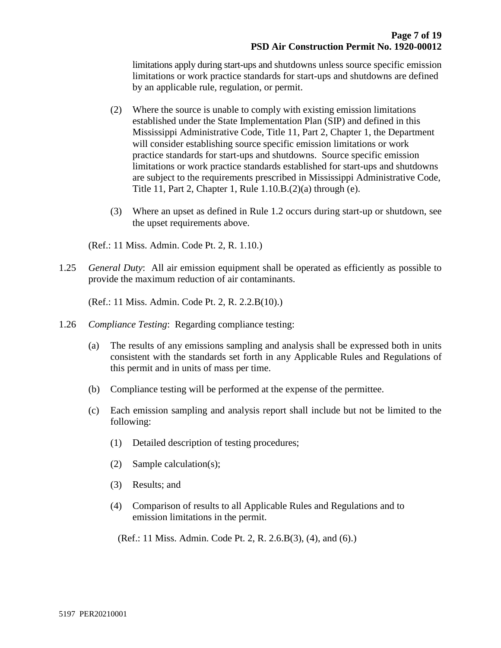limitations apply during start-ups and shutdowns unless source specific emission limitations or work practice standards for start-ups and shutdowns are defined by an applicable rule, regulation, or permit.

- (2) Where the source is unable to comply with existing emission limitations established under the State Implementation Plan (SIP) and defined in this Mississippi Administrative Code, Title 11, Part 2, Chapter 1, the Department will consider establishing source specific emission limitations or work practice standards for start-ups and shutdowns. Source specific emission limitations or work practice standards established for start-ups and shutdowns are subject to the requirements prescribed in Mississippi Administrative Code, Title 11, Part 2, Chapter 1, Rule 1.10.B.(2)(a) through (e).
- (3) Where an upset as defined in Rule 1.2 occurs during start-up or shutdown, see the upset requirements above.

(Ref.: 11 Miss. Admin. Code Pt. 2, R. 1.10.)

1.25 *General Duty*: All air emission equipment shall be operated as efficiently as possible to provide the maximum reduction of air contaminants.

(Ref.: 11 Miss. Admin. Code Pt. 2, R. 2.2.B(10).)

- 1.26 *Compliance Testing*: Regarding compliance testing:
	- (a) The results of any emissions sampling and analysis shall be expressed both in units consistent with the standards set forth in any Applicable Rules and Regulations of this permit and in units of mass per time.
	- (b) Compliance testing will be performed at the expense of the permittee.
	- (c) Each emission sampling and analysis report shall include but not be limited to the following:
		- (1) Detailed description of testing procedures;
		- (2) Sample calculation(s);
		- (3) Results; and
		- (4) Comparison of results to all Applicable Rules and Regulations and to emission limitations in the permit.

(Ref.: 11 Miss. Admin. Code Pt. 2, R. 2.6.B(3), (4), and (6).)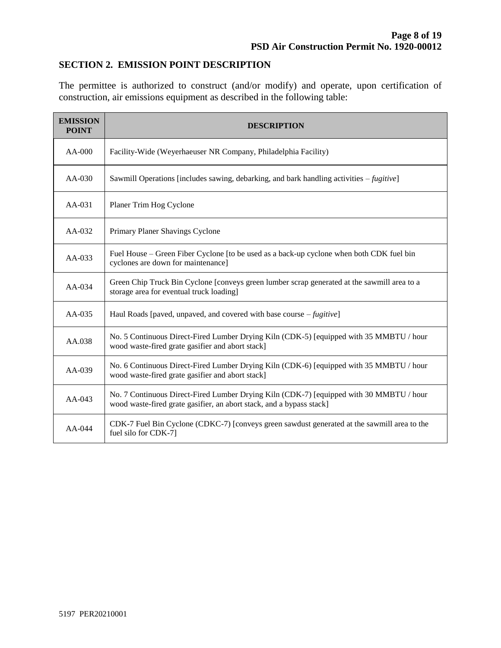## **SECTION 2. EMISSION POINT DESCRIPTION**

The permittee is authorized to construct (and/or modify) and operate, upon certification of construction, air emissions equipment as described in the following table:

| <b>EMISSION</b><br><b>POINT</b> | <b>DESCRIPTION</b>                                                                                                                                              |  |  |
|---------------------------------|-----------------------------------------------------------------------------------------------------------------------------------------------------------------|--|--|
| $AA-000$                        | Facility-Wide (Weyerhaeuser NR Company, Philadelphia Facility)                                                                                                  |  |  |
| $AA-030$                        | Sawmill Operations [includes sawing, debarking, and bark handling activities – <i>fugitive</i> ]                                                                |  |  |
| AA-031                          | Planer Trim Hog Cyclone                                                                                                                                         |  |  |
| $AA-032$                        | Primary Planer Shavings Cyclone                                                                                                                                 |  |  |
| AA-033                          | Fuel House – Green Fiber Cyclone [to be used as a back-up cyclone when both CDK fuel bin<br>cyclones are down for maintenance]                                  |  |  |
| $AA-034$                        | Green Chip Truck Bin Cyclone [conveys green lumber scrap generated at the sawmill area to a<br>storage area for eventual truck loading]                         |  |  |
| $AA-035$                        | Haul Roads [paved, unpaved, and covered with base course $-fugitive$ ]                                                                                          |  |  |
| AA.038                          | No. 5 Continuous Direct-Fired Lumber Drying Kiln (CDK-5) [equipped with 35 MMBTU / hour<br>wood waste-fired grate gasifier and abort stack]                     |  |  |
| $AA-039$                        | No. 6 Continuous Direct-Fired Lumber Drying Kiln (CDK-6) [equipped with 35 MMBTU / hour<br>wood waste-fired grate gasifier and abort stack]                     |  |  |
| $AA-043$                        | No. 7 Continuous Direct-Fired Lumber Drying Kiln (CDK-7) [equipped with 30 MMBTU / hour<br>wood waste-fired grate gasifier, an abort stack, and a bypass stack] |  |  |
| $AA-044$                        | CDK-7 Fuel Bin Cyclone (CDKC-7) [conveys green sawdust generated at the sawmill area to the<br>fuel silo for CDK-7]                                             |  |  |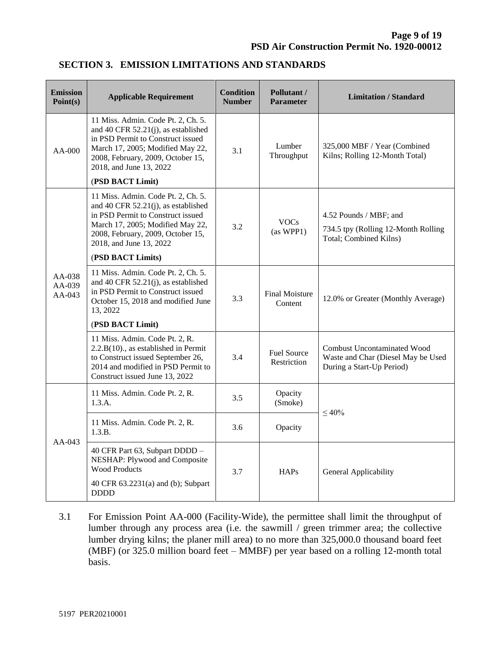| <b>Emission</b><br>Point(s)    | <b>Applicable Requirement</b>                                                                                                                                                                                         | <b>Condition</b><br><b>Number</b> | Pollutant /<br><b>Parameter</b>   | <b>Limitation / Standard</b>                                                                          |  |
|--------------------------------|-----------------------------------------------------------------------------------------------------------------------------------------------------------------------------------------------------------------------|-----------------------------------|-----------------------------------|-------------------------------------------------------------------------------------------------------|--|
| $AA-000$                       | 11 Miss. Admin. Code Pt. 2, Ch. 5.<br>and 40 CFR $52.21(j)$ , as established<br>in PSD Permit to Construct issued<br>March 17, 2005; Modified May 22,<br>2008, February, 2009, October 15,<br>2018, and June 13, 2022 | 3.1                               | Lumber<br>Throughput              | 325,000 MBF / Year (Combined<br>Kilns; Rolling 12-Month Total)                                        |  |
|                                | (PSD BACT Limit)                                                                                                                                                                                                      |                                   |                                   |                                                                                                       |  |
| $AA-038$<br>$AA-039$<br>AA-043 | 11 Miss. Admin. Code Pt. 2, Ch. 5.<br>and 40 CFR 52.21(j), as established<br>in PSD Permit to Construct issued<br>March 17, 2005; Modified May 22,<br>2008, February, 2009, October 15,<br>2018, and June 13, 2022    | 3.2                               | <b>VOCs</b><br>(as WPP1)          | 4.52 Pounds / MBF; and<br>734.5 tpy (Rolling 12-Month Rolling<br>Total; Combined Kilns)               |  |
|                                | (PSD BACT Limits)                                                                                                                                                                                                     |                                   |                                   |                                                                                                       |  |
|                                | 11 Miss. Admin. Code Pt. 2, Ch. 5.<br>and 40 CFR 52.21(j), as established<br>in PSD Permit to Construct issued<br>October 15, 2018 and modified June<br>13, 2022                                                      | 3.3                               | <b>Final Moisture</b><br>Content  | 12.0% or Greater (Monthly Average)                                                                    |  |
|                                | (PSD BACT Limit)                                                                                                                                                                                                      |                                   |                                   |                                                                                                       |  |
|                                | 11 Miss. Admin. Code Pt. 2, R.<br>$2.2.B(10)$ ., as established in Permit<br>to Construct issued September 26,<br>2014 and modified in PSD Permit to<br>Construct issued June 13, 2022                                | 3.4                               | <b>Fuel Source</b><br>Restriction | <b>Combust Uncontaminated Wood</b><br>Waste and Char (Diesel May be Used<br>During a Start-Up Period) |  |
| AA-043                         | 11 Miss. Admin. Code Pt. 2, R.<br>1.3.A.                                                                                                                                                                              | 3.5                               | Opacity<br>(Smoke)                |                                                                                                       |  |
|                                | 11 Miss. Admin. Code Pt. 2, R.<br>1.3.B.                                                                                                                                                                              | 3.6                               | Opacity                           | $\leq 40\%$                                                                                           |  |
|                                | 40 CFR Part 63, Subpart DDDD -<br>NESHAP: Plywood and Composite<br><b>Wood Products</b>                                                                                                                               | 3.7<br>HAPs                       |                                   | General Applicability                                                                                 |  |
|                                | 40 CFR 63.2231(a) and (b); Subpart<br><b>DDDD</b>                                                                                                                                                                     |                                   |                                   |                                                                                                       |  |

## **SECTION 3. EMISSION LIMITATIONS AND STANDARDS**

3.1 For Emission Point AA-000 (Facility-Wide), the permittee shall limit the throughput of lumber through any process area (i.e. the sawmill / green trimmer area; the collective lumber drying kilns; the planer mill area) to no more than 325,000.0 thousand board feet (MBF) (or 325.0 million board feet – MMBF) per year based on a rolling 12-month total basis.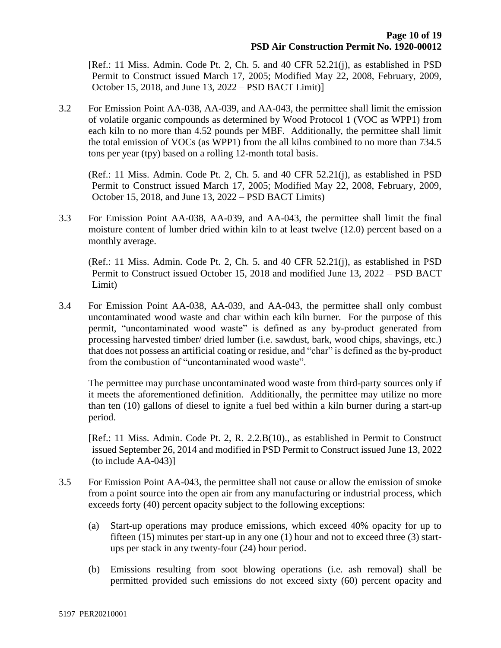[Ref.: 11 Miss. Admin. Code Pt. 2, Ch. 5. and 40 CFR 52.21(j), as established in PSD Permit to Construct issued March 17, 2005; Modified May 22, 2008, February, 2009, October 15, 2018, and June 13, 2022 – PSD BACT Limit)]

3.2 For Emission Point AA-038, AA-039, and AA-043, the permittee shall limit the emission of volatile organic compounds as determined by Wood Protocol 1 (VOC as WPP1) from each kiln to no more than 4.52 pounds per MBF. Additionally, the permittee shall limit the total emission of VOCs (as WPP1) from the all kilns combined to no more than 734.5 tons per year (tpy) based on a rolling 12-month total basis.

(Ref.: 11 Miss. Admin. Code Pt. 2, Ch. 5. and 40 CFR 52.21(j), as established in PSD Permit to Construct issued March 17, 2005; Modified May 22, 2008, February, 2009, October 15, 2018, and June 13, 2022 – PSD BACT Limits)

3.3 For Emission Point AA-038, AA-039, and AA-043, the permittee shall limit the final moisture content of lumber dried within kiln to at least twelve (12.0) percent based on a monthly average.

(Ref.: 11 Miss. Admin. Code Pt. 2, Ch. 5. and 40 CFR 52.21(j), as established in PSD Permit to Construct issued October 15, 2018 and modified June 13, 2022 – PSD BACT Limit)

3.4 For Emission Point AA-038, AA-039, and AA-043, the permittee shall only combust uncontaminated wood waste and char within each kiln burner. For the purpose of this permit, "uncontaminated wood waste" is defined as any by-product generated from processing harvested timber/ dried lumber (i.e. sawdust, bark, wood chips, shavings, etc.) that does not possess an artificial coating or residue, and "char" is defined as the by-product from the combustion of "uncontaminated wood waste".

The permittee may purchase uncontaminated wood waste from third-party sources only if it meets the aforementioned definition. Additionally, the permittee may utilize no more than ten (10) gallons of diesel to ignite a fuel bed within a kiln burner during a start-up period.

[Ref.: 11 Miss. Admin. Code Pt. 2, R. 2.2.B(10)., as established in Permit to Construct issued September 26, 2014 and modified in PSD Permit to Construct issued June 13, 2022 (to include AA-043)]

- 3.5 For Emission Point AA-043, the permittee shall not cause or allow the emission of smoke from a point source into the open air from any manufacturing or industrial process, which exceeds forty (40) percent opacity subject to the following exceptions:
	- (a) Start-up operations may produce emissions, which exceed 40% opacity for up to fifteen (15) minutes per start-up in any one (1) hour and not to exceed three (3) startups per stack in any twenty-four (24) hour period.
	- (b) Emissions resulting from soot blowing operations (i.e. ash removal) shall be permitted provided such emissions do not exceed sixty (60) percent opacity and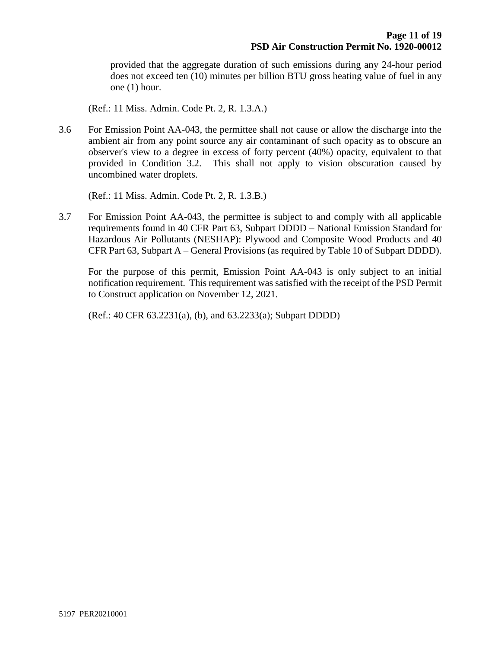provided that the aggregate duration of such emissions during any 24-hour period does not exceed ten (10) minutes per billion BTU gross heating value of fuel in any one (1) hour.

(Ref.: 11 Miss. Admin. Code Pt. 2, R. 1.3.A.)

3.6 For Emission Point AA-043, the permittee shall not cause or allow the discharge into the ambient air from any point source any air contaminant of such opacity as to obscure an observer's view to a degree in excess of forty percent (40%) opacity, equivalent to that provided in Condition 3.2. This shall not apply to vision obscuration caused by uncombined water droplets.

(Ref.: 11 Miss. Admin. Code Pt. 2, R. 1.3.B.)

3.7 For Emission Point AA-043, the permittee is subject to and comply with all applicable requirements found in 40 CFR Part 63, Subpart DDDD – National Emission Standard for Hazardous Air Pollutants (NESHAP): Plywood and Composite Wood Products and 40 CFR Part 63, Subpart A – General Provisions (as required by Table 10 of Subpart DDDD).

For the purpose of this permit, Emission Point AA-043 is only subject to an initial notification requirement. This requirement was satisfied with the receipt of the PSD Permit to Construct application on November 12, 2021.

(Ref.: 40 CFR 63.2231(a), (b), and 63.2233(a); Subpart DDDD)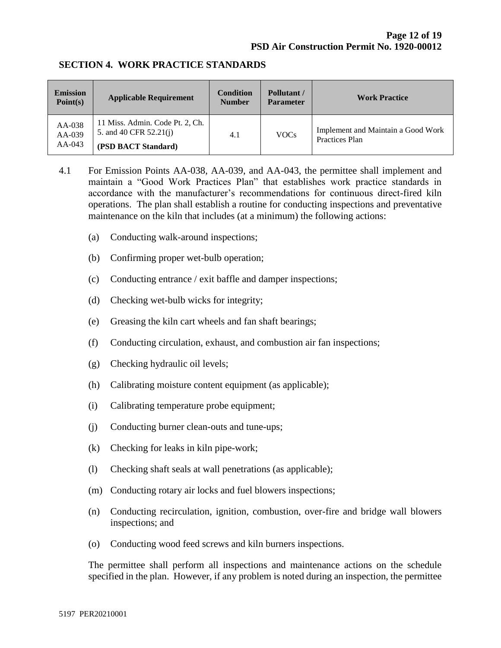#### **SECTION 4. WORK PRACTICE STANDARDS**

| <b>Emission</b><br>Point(s)    | <b>Applicable Requirement</b>                                                    | <b>Condition</b><br><b>Number</b> | Pollutant /<br><b>Parameter</b> | <b>Work Practice</b>                                 |
|--------------------------------|----------------------------------------------------------------------------------|-----------------------------------|---------------------------------|------------------------------------------------------|
| AA-038<br>$AA-039$<br>$AA-043$ | 11 Miss. Admin. Code Pt. 2, Ch.<br>5. and 40 CFR 52.21(j)<br>(PSD BACT Standard) | 4.1                               | <b>VOCs</b>                     | Implement and Maintain a Good Work<br>Practices Plan |

4.1 For Emission Points AA-038, AA-039, and AA-043, the permittee shall implement and maintain a "Good Work Practices Plan" that establishes work practice standards in accordance with the manufacturer's recommendations for continuous direct-fired kiln operations. The plan shall establish a routine for conducting inspections and preventative maintenance on the kiln that includes (at a minimum) the following actions:

- (a) Conducting walk-around inspections;
- (b) Confirming proper wet-bulb operation;
- (c) Conducting entrance / exit baffle and damper inspections;
- (d) Checking wet-bulb wicks for integrity;
- (e) Greasing the kiln cart wheels and fan shaft bearings;
- (f) Conducting circulation, exhaust, and combustion air fan inspections;
- (g) Checking hydraulic oil levels;
- (h) Calibrating moisture content equipment (as applicable);
- (i) Calibrating temperature probe equipment;
- (j) Conducting burner clean-outs and tune-ups;
- (k) Checking for leaks in kiln pipe-work;
- (l) Checking shaft seals at wall penetrations (as applicable);
- (m) Conducting rotary air locks and fuel blowers inspections;
- (n) Conducting recirculation, ignition, combustion, over-fire and bridge wall blowers inspections; and
- (o) Conducting wood feed screws and kiln burners inspections.

The permittee shall perform all inspections and maintenance actions on the schedule specified in the plan. However, if any problem is noted during an inspection, the permittee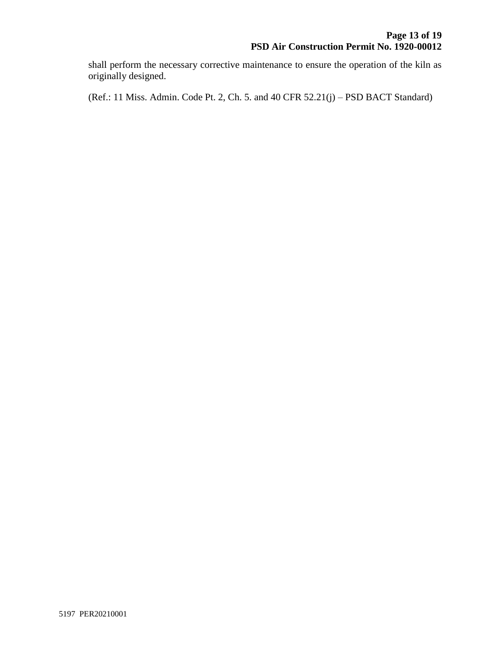shall perform the necessary corrective maintenance to ensure the operation of the kiln as originally designed.

(Ref.: 11 Miss. Admin. Code Pt. 2, Ch. 5. and 40 CFR 52.21(j) – PSD BACT Standard)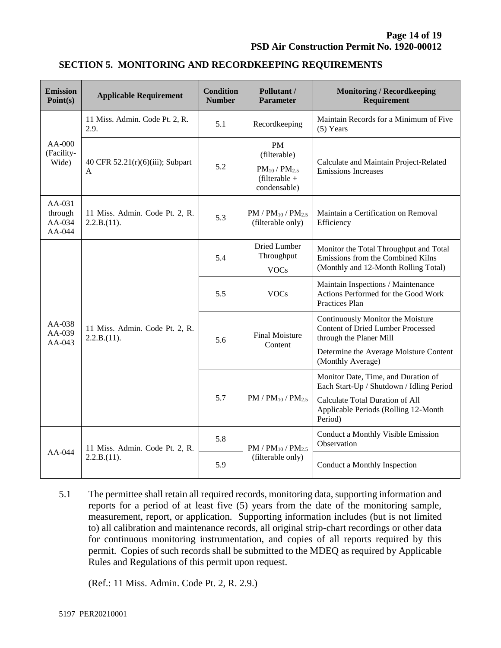| <b>Emission</b><br>Point(s)           | <b>Applicable Requirement</b>                 | <b>Condition</b><br><b>Number</b> | Pollutant /<br><b>Parameter</b>                                                 | <b>Monitoring / Recordkeeping</b><br>Requirement                                                                    |
|---------------------------------------|-----------------------------------------------|-----------------------------------|---------------------------------------------------------------------------------|---------------------------------------------------------------------------------------------------------------------|
| $AA-000$<br>(Facility-<br>Wide)       | 11 Miss. Admin. Code Pt. 2, R.<br>2.9.        | 5.1                               | Recordkeeping                                                                   | Maintain Records for a Minimum of Five<br>$(5)$ Years                                                               |
|                                       | 40 CFR $52.21(r)(6)(iii)$ ; Subpart<br>A      | 5.2                               | PM<br>(filterable)<br>$PM_{10}$ / $PM_{2.5}$<br>$(filterable +$<br>condensable) | Calculate and Maintain Project-Related<br><b>Emissions Increases</b>                                                |
| AA-031<br>through<br>AA-034<br>AA-044 | 11 Miss. Admin. Code Pt. 2, R.<br>2.2.B.(11). | 5.3                               | $PM$ / $PM_{10}$ / $PM_{2.5}$<br>(filterable only)                              | Maintain a Certification on Removal<br>Efficiency                                                                   |
| $AA-038$<br>AA-039<br>AA-043          | 11 Miss. Admin. Code Pt. 2, R.<br>2.2.B.(11). | 5.4                               | Dried Lumber<br>Throughput<br><b>VOCs</b>                                       | Monitor the Total Throughput and Total<br>Emissions from the Combined Kilns<br>(Monthly and 12-Month Rolling Total) |
|                                       |                                               | 5.5                               | <b>VOCs</b>                                                                     | Maintain Inspections / Maintenance<br>Actions Performed for the Good Work<br>Practices Plan                         |
|                                       |                                               | 5.6                               | <b>Final Moisture</b><br>Content                                                | Continuously Monitor the Moisture<br><b>Content of Dried Lumber Processed</b><br>through the Planer Mill            |
|                                       |                                               |                                   |                                                                                 | Determine the Average Moisture Content<br>(Monthly Average)                                                         |
|                                       |                                               | 5.7                               | $PM / PM_{10} / PM_{2.5}$                                                       | Monitor Date, Time, and Duration of<br>Each Start-Up / Shutdown / Idling Period                                     |
|                                       |                                               |                                   |                                                                                 | Calculate Total Duration of All<br>Applicable Periods (Rolling 12-Month<br>Period)                                  |
| AA-044                                | 11 Miss. Admin. Code Pt. 2, R.<br>2.2.B.(11). | 5.8                               | $PM / PM_{10} / PM_{2.5}$                                                       | Conduct a Monthly Visible Emission<br>Observation                                                                   |
|                                       |                                               | 5.9                               | (filterable only)                                                               | Conduct a Monthly Inspection                                                                                        |

### **SECTION 5. MONITORING AND RECORDKEEPING REQUIREMENTS**

5.1 The permittee shall retain all required records, monitoring data, supporting information and reports for a period of at least five (5) years from the date of the monitoring sample, measurement, report, or application. Supporting information includes (but is not limited to) all calibration and maintenance records, all original strip-chart recordings or other data for continuous monitoring instrumentation, and copies of all reports required by this permit. Copies of such records shall be submitted to the MDEQ as required by Applicable Rules and Regulations of this permit upon request.

(Ref.: 11 Miss. Admin. Code Pt. 2, R. 2.9.)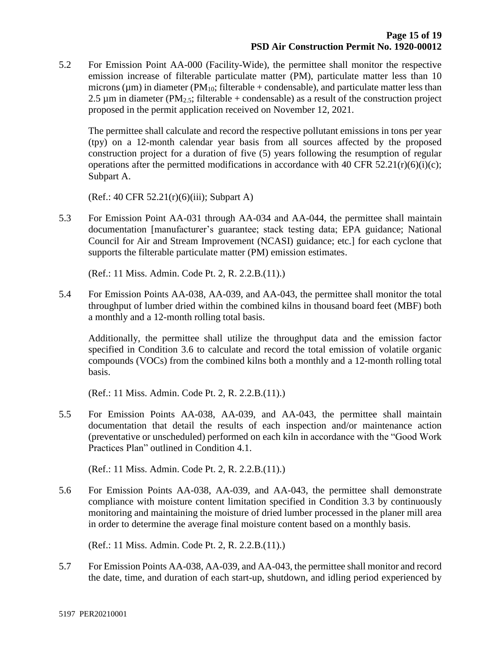5.2 For Emission Point AA-000 (Facility-Wide), the permittee shall monitor the respective emission increase of filterable particulate matter (PM), particulate matter less than 10 microns ( $\mu$ m) in diameter (PM<sub>10</sub>; filterable + condensable), and particulate matter less than 2.5  $\mu$ m in diameter (PM<sub>2.5</sub>; filterable + condensable) as a result of the construction project proposed in the permit application received on November 12, 2021.

The permittee shall calculate and record the respective pollutant emissions in tons per year (tpy) on a 12-month calendar year basis from all sources affected by the proposed construction project for a duration of five (5) years following the resumption of regular operations after the permitted modifications in accordance with 40 CFR 52.21 $(r)(6)(i)(c)$ ; Subpart A.

(Ref.: 40 CFR 52.21(r)(6)(iii); Subpart A)

5.3 For Emission Point AA-031 through AA-034 and AA-044, the permittee shall maintain documentation [manufacturer's guarantee; stack testing data; EPA guidance; National Council for Air and Stream Improvement (NCASI) guidance; etc.] for each cyclone that supports the filterable particulate matter (PM) emission estimates.

(Ref.: 11 Miss. Admin. Code Pt. 2, R. 2.2.B.(11).)

5.4 For Emission Points AA-038, AA-039, and AA-043, the permittee shall monitor the total throughput of lumber dried within the combined kilns in thousand board feet (MBF) both a monthly and a 12-month rolling total basis.

Additionally, the permittee shall utilize the throughput data and the emission factor specified in Condition 3.6 to calculate and record the total emission of volatile organic compounds (VOCs) from the combined kilns both a monthly and a 12-month rolling total basis.

(Ref.: 11 Miss. Admin. Code Pt. 2, R. 2.2.B.(11).)

5.5 For Emission Points AA-038, AA-039, and AA-043, the permittee shall maintain documentation that detail the results of each inspection and/or maintenance action (preventative or unscheduled) performed on each kiln in accordance with the "Good Work Practices Plan" outlined in Condition 4.1.

(Ref.: 11 Miss. Admin. Code Pt. 2, R. 2.2.B.(11).)

5.6 For Emission Points AA-038, AA-039, and AA-043, the permittee shall demonstrate compliance with moisture content limitation specified in Condition 3.3 by continuously monitoring and maintaining the moisture of dried lumber processed in the planer mill area in order to determine the average final moisture content based on a monthly basis.

(Ref.: 11 Miss. Admin. Code Pt. 2, R. 2.2.B.(11).)

5.7 For Emission Points AA-038, AA-039, and AA-043, the permittee shall monitor and record the date, time, and duration of each start-up, shutdown, and idling period experienced by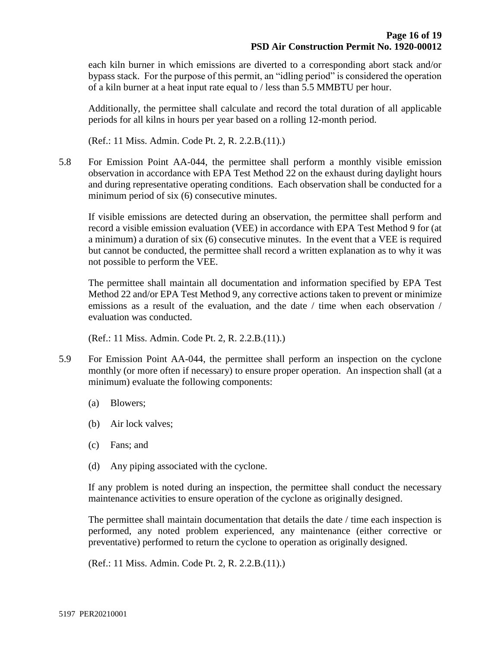each kiln burner in which emissions are diverted to a corresponding abort stack and/or bypass stack. For the purpose of this permit, an "idling period" is considered the operation of a kiln burner at a heat input rate equal to / less than 5.5 MMBTU per hour.

Additionally, the permittee shall calculate and record the total duration of all applicable periods for all kilns in hours per year based on a rolling 12-month period.

(Ref.: 11 Miss. Admin. Code Pt. 2, R. 2.2.B.(11).)

5.8 For Emission Point AA-044, the permittee shall perform a monthly visible emission observation in accordance with EPA Test Method 22 on the exhaust during daylight hours and during representative operating conditions. Each observation shall be conducted for a minimum period of six (6) consecutive minutes.

If visible emissions are detected during an observation, the permittee shall perform and record a visible emission evaluation (VEE) in accordance with EPA Test Method 9 for (at a minimum) a duration of six (6) consecutive minutes. In the event that a VEE is required but cannot be conducted, the permittee shall record a written explanation as to why it was not possible to perform the VEE.

The permittee shall maintain all documentation and information specified by EPA Test Method 22 and/or EPA Test Method 9, any corrective actions taken to prevent or minimize emissions as a result of the evaluation, and the date / time when each observation / evaluation was conducted.

(Ref.: 11 Miss. Admin. Code Pt. 2, R. 2.2.B.(11).)

- 5.9 For Emission Point AA-044, the permittee shall perform an inspection on the cyclone monthly (or more often if necessary) to ensure proper operation. An inspection shall (at a minimum) evaluate the following components:
	- (a) Blowers;
	- (b) Air lock valves;
	- (c) Fans; and
	- (d) Any piping associated with the cyclone.

If any problem is noted during an inspection, the permittee shall conduct the necessary maintenance activities to ensure operation of the cyclone as originally designed.

The permittee shall maintain documentation that details the date / time each inspection is performed, any noted problem experienced, any maintenance (either corrective or preventative) performed to return the cyclone to operation as originally designed.

(Ref.: 11 Miss. Admin. Code Pt. 2, R. 2.2.B.(11).)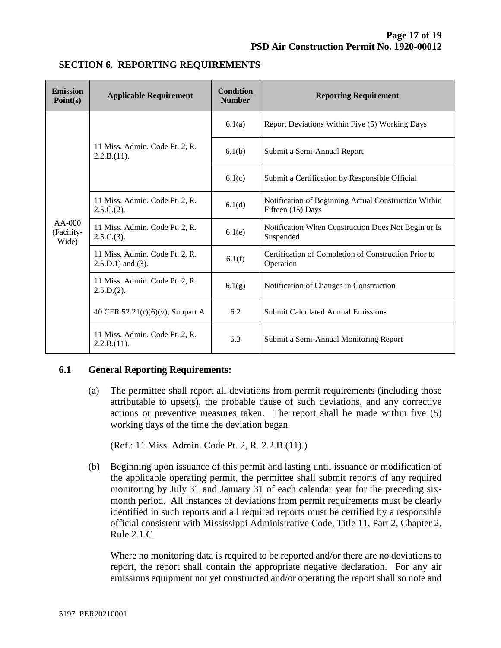| <b>Emission</b><br>Point(s)     | <b>Applicable Requirement</b>                             | <b>Condition</b><br><b>Number</b> | <b>Reporting Requirement</b>                                              |  |
|---------------------------------|-----------------------------------------------------------|-----------------------------------|---------------------------------------------------------------------------|--|
| $AA-000$<br>(Facility-<br>Wide) | 11 Miss. Admin. Code Pt. 2, R.<br>2.2.B.(11).             | 6.1(a)                            | Report Deviations Within Five (5) Working Days                            |  |
|                                 |                                                           | 6.1(b)                            | Submit a Semi-Annual Report                                               |  |
|                                 |                                                           | 6.1(c)                            | Submit a Certification by Responsible Official                            |  |
|                                 | 11 Miss. Admin. Code Pt. 2, R.<br>$2.5.C.(2)$ .           | 6.1(d)                            | Notification of Beginning Actual Construction Within<br>Fifteen (15) Days |  |
|                                 | 11 Miss. Admin. Code Pt. 2, R.<br>2.5.C.(3).              | 6.1(e)                            | Notification When Construction Does Not Begin or Is<br>Suspended          |  |
|                                 | 11 Miss. Admin. Code Pt. 2, R.<br>$2.5.D.1$ ) and $(3)$ . | 6.1(f)                            | Certification of Completion of Construction Prior to<br>Operation         |  |
|                                 | 11 Miss. Admin. Code Pt. 2, R.<br>$2.5.D.(2)$ .           | 6.1(g)                            | Notification of Changes in Construction                                   |  |
|                                 | 40 CFR 52.21(r)(6)(v); Subpart A                          | 6.2                               | <b>Submit Calculated Annual Emissions</b>                                 |  |
|                                 | 11 Miss. Admin. Code Pt. 2, R.<br>2.2.B.(11).             | 6.3                               | Submit a Semi-Annual Monitoring Report                                    |  |

## **SECTION 6. REPORTING REQUIREMENTS**

#### **6.1 General Reporting Requirements:**

(a) The permittee shall report all deviations from permit requirements (including those attributable to upsets), the probable cause of such deviations, and any corrective actions or preventive measures taken. The report shall be made within five (5) working days of the time the deviation began.

(Ref.: 11 Miss. Admin. Code Pt. 2, R. 2.2.B.(11).)

(b) Beginning upon issuance of this permit and lasting until issuance or modification of the applicable operating permit, the permittee shall submit reports of any required monitoring by July 31 and January 31 of each calendar year for the preceding sixmonth period. All instances of deviations from permit requirements must be clearly identified in such reports and all required reports must be certified by a responsible official consistent with Mississippi Administrative Code, Title 11, Part 2, Chapter 2, Rule 2.1.C.

Where no monitoring data is required to be reported and/or there are no deviations to report, the report shall contain the appropriate negative declaration. For any air emissions equipment not yet constructed and/or operating the report shall so note and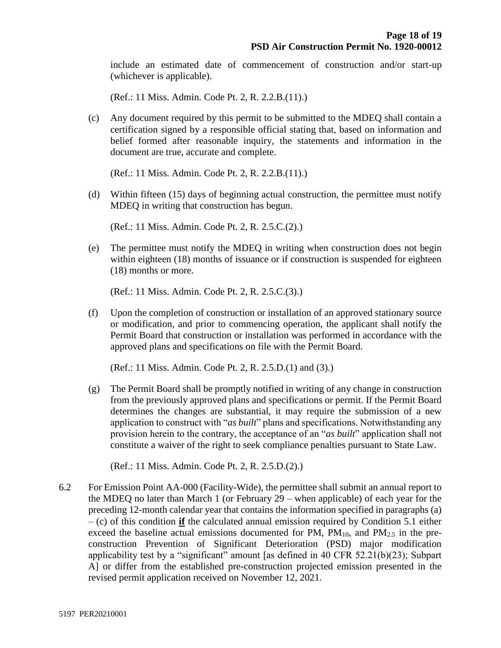include an estimated date of commencement of construction and/or start-up (whichever is applicable).

(Ref.: 11 Miss. Admin. Code Pt. 2, R. 2.2.B.(11).)

(c) Any document required by this permit to be submitted to the MDEQ shall contain a certification signed by a responsible official stating that, based on information and belief formed after reasonable inquiry, the statements and information in the document are true, accurate and complete.

(Ref.: 11 Miss. Admin. Code Pt. 2, R. 2.2.B.(11).)

(d) Within fifteen (15) days of beginning actual construction, the permittee must notify MDEQ in writing that construction has begun.

(Ref.: 11 Miss. Admin. Code Pt. 2, R. 2.5.C.(2).)

(e) The permittee must notify the MDEQ in writing when construction does not begin within eighteen (18) months of issuance or if construction is suspended for eighteen (18) months or more.

(Ref.: 11 Miss. Admin. Code Pt. 2, R. 2.5.C.(3).)

(f) Upon the completion of construction or installation of an approved stationary source or modification, and prior to commencing operation, the applicant shall notify the Permit Board that construction or installation was performed in accordance with the approved plans and specifications on file with the Permit Board.

(Ref.: 11 Miss. Admin. Code Pt. 2, R. 2.5.D.(1) and (3).)

(g) The Permit Board shall be promptly notified in writing of any change in construction from the previously approved plans and specifications or permit. If the Permit Board determines the changes are substantial, it may require the submission of a new application to construct with "*as built*" plans and specifications. Notwithstanding any provision herein to the contrary, the acceptance of an "*as built*" application shall not constitute a waiver of the right to seek compliance penalties pursuant to State Law.

(Ref.: 11 Miss. Admin. Code Pt. 2, R. 2.5.D.(2).)

6.2 For Emission Point AA-000 (Facility-Wide), the permittee shall submit an annual report to the MDEQ no later than March 1 (or February 29 – when applicable) of each year for the preceding 12-month calendar year that contains the information specified in paragraphs (a) – (c) of this condition **if** the calculated annual emission required by Condition 5.1 either exceed the baseline actual emissions documented for PM,  $PM_{10}$ , and  $PM_{2.5}$  in the preconstruction Prevention of Significant Deterioration (PSD) major modification applicability test by a "significant" amount [as defined in 40 CFR 52.21(b)(23); Subpart A] or differ from the established pre-construction projected emission presented in the revised permit application received on November 12, 2021.